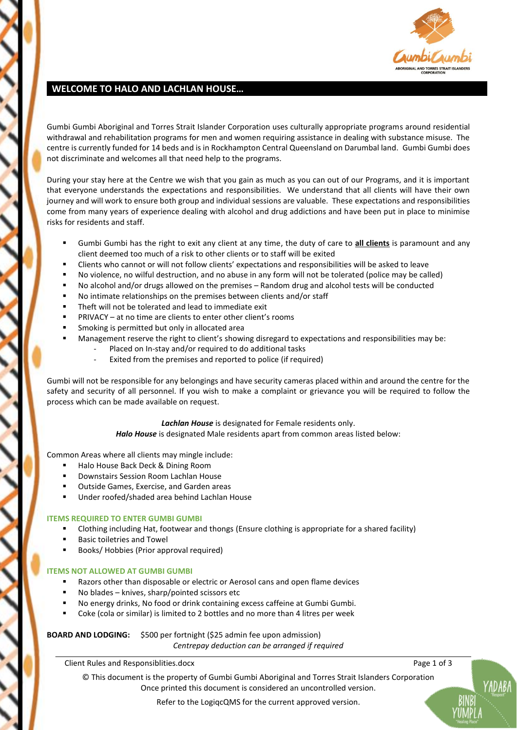

### **WELCOME TO HALO AND LACHLAN HOUSE…**

Gumbi Gumbi Aboriginal and Torres Strait Islander Corporation uses culturally appropriate programs around residential withdrawal and rehabilitation programs for men and women requiring assistance in dealing with substance misuse. The centre is currently funded for 14 beds and is in Rockhampton Central Queensland on Darumbal land. Gumbi Gumbi does not discriminate and welcomes all that need help to the programs.

During your stay here at the Centre we wish that you gain as much as you can out of our Programs, and it is important that everyone understands the expectations and responsibilities. We understand that all clients will have their own journey and will work to ensure both group and individual sessions are valuable. These expectations and responsibilities come from many years of experience dealing with alcohol and drug addictions and have been put in place to minimise risks for residents and staff.

- Gumbi Gumbi has the right to exit any client at any time, the duty of care to **all clients** is paramount and any client deemed too much of a risk to other clients or to staff will be exited
- Clients who cannot or will not follow clients' expectations and responsibilities will be asked to leave
- No violence, no wilful destruction, and no abuse in any form will not be tolerated (police may be called)
- No alcohol and/or drugs allowed on the premises Random drug and alcohol tests will be conducted
- No intimate relationships on the premises between clients and/or staff
- Theft will not be tolerated and lead to immediate exit
- PRIVACY at no time are clients to enter other client's rooms
- Smoking is permitted but only in allocated area
- Management reserve the right to client's showing disregard to expectations and responsibilities may be:
	- Placed on In-stay and/or required to do additional tasks
	- Exited from the premises and reported to police (if required)

Gumbi will not be responsible for any belongings and have security cameras placed within and around the centre for the safety and security of all personnel. If you wish to make a complaint or grievance you will be required to follow the process which can be made available on request.

#### *Lachlan House* is designated for Female residents only.

*Halo House* is designated Male residents apart from common areas listed below:

Common Areas where all clients may mingle include:

- Halo House Back Deck & Dining Room
- Downstairs Session Room Lachlan House
- Outside Games, Exercise, and Garden areas
- Under roofed/shaded area behind Lachlan House

### **ITEMS REQUIRED TO ENTER GUMBI GUMBI**

- Clothing including Hat, footwear and thongs (Ensure clothing is appropriate for a shared facility)
- **Basic toiletries and Towel**
- Books/ Hobbies (Prior approval required)

#### **ITEMS NOT ALLOWED AT GUMBI GUMBI**

- Razors other than disposable or electric or Aerosol cans and open flame devices
- No blades knives, sharp/pointed scissors etc
- No energy drinks, No food or drink containing excess caffeine at Gumbi Gumbi.
- Coke (cola or similar) is limited to 2 bottles and no more than 4 litres per week

### **BOARD AND LODGING:** \$500 per fortnight (\$25 admin fee upon admission) *Centrepay deduction can be arranged if required*

Client Rules and Responsiblities.docx Page 1 of 3

© This document is the property of Gumbi Gumbi Aboriginal and Torres Strait Islanders Corporation Once printed this document is considered an uncontrolled version.

Refer to the LogiqcQMS for the current approved version.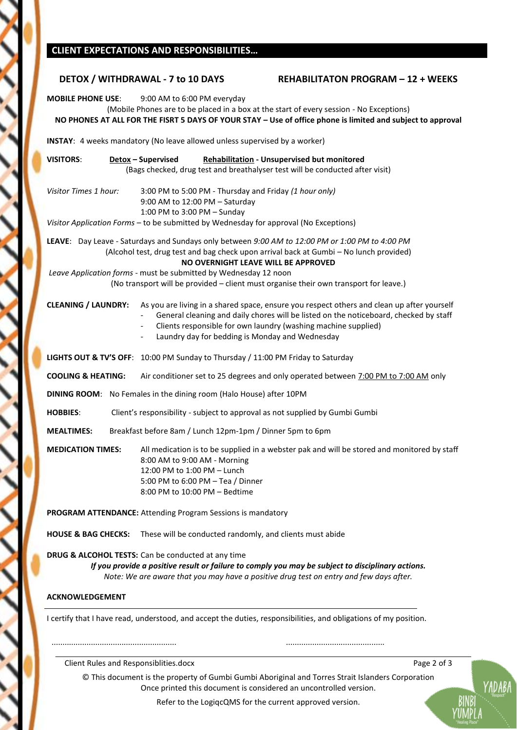# **CLIENT EXPECTATIONS AND RESPONSIBILITIES…**

Κ

 $\zeta$ 

ζ

K

|                                                                                                                  | DETOX / WITHDRAWAL - 7 to 10 DAYS                                                                                                                                                                                                                                                                                                                                                             | <b>REHABILITATON PROGRAM - 12 + WEEKS</b>                                             |  |
|------------------------------------------------------------------------------------------------------------------|-----------------------------------------------------------------------------------------------------------------------------------------------------------------------------------------------------------------------------------------------------------------------------------------------------------------------------------------------------------------------------------------------|---------------------------------------------------------------------------------------|--|
| <b>MOBILE PHONE USE:</b>                                                                                         | 9:00 AM to 6:00 PM everyday<br>(Mobile Phones are to be placed in a box at the start of every session - No Exceptions)<br>NO PHONES AT ALL FOR THE FISRT 5 DAYS OF YOUR STAY - Use of office phone is limited and subject to approval                                                                                                                                                         |                                                                                       |  |
| INSTAY: 4 weeks mandatory (No leave allowed unless supervised by a worker)                                       |                                                                                                                                                                                                                                                                                                                                                                                               |                                                                                       |  |
| <b>VISITORS:</b>                                                                                                 | Rehabilitation - Unsupervised but monitored<br><b>Detox-Supervised</b><br>(Bags checked, drug test and breathalyser test will be conducted after visit)                                                                                                                                                                                                                                       |                                                                                       |  |
| Visitor Times 1 hour:                                                                                            | 3:00 PM to 5:00 PM - Thursday and Friday (1 hour only)<br>9:00 AM to 12:00 PM - Saturday<br>1:00 PM to 3:00 PM - Sunday<br>Visitor Application Forms - to be submitted by Wednesday for approval (No Exceptions)                                                                                                                                                                              |                                                                                       |  |
|                                                                                                                  | LEAVE: Day Leave - Saturdays and Sundays only between 9:00 AM to 12:00 PM or 1:00 PM to 4:00 PM<br>(Alcohol test, drug test and bag check upon arrival back at Gumbi - No lunch provided)<br>NO OVERNIGHT LEAVE WILL BE APPROVED<br>Leave Application forms - must be submitted by Wednesday 12 noon<br>(No transport will be provided - client must organise their own transport for leave.) |                                                                                       |  |
| <b>CLEANING / LAUNDRY:</b>                                                                                       | As you are living in a shared space, ensure you respect others and clean up after yourself<br>Clients responsible for own laundry (washing machine supplied)<br>$\overline{\phantom{a}}$<br>Laundry day for bedding is Monday and Wednesday<br>$\overline{\phantom{a}}$                                                                                                                       | General cleaning and daily chores will be listed on the noticeboard, checked by staff |  |
|                                                                                                                  | LIGHTS OUT & TV'S OFF: 10:00 PM Sunday to Thursday / 11:00 PM Friday to Saturday                                                                                                                                                                                                                                                                                                              |                                                                                       |  |
| <b>COOLING &amp; HEATING:</b>                                                                                    | Air conditioner set to 25 degrees and only operated between 7:00 PM to 7:00 AM only                                                                                                                                                                                                                                                                                                           |                                                                                       |  |
| DINING ROOM: No Females in the dining room (Halo House) after 10PM                                               |                                                                                                                                                                                                                                                                                                                                                                                               |                                                                                       |  |
| Client's responsibility - subject to approval as not supplied by Gumbi Gumbi<br><b>HOBBIES:</b>                  |                                                                                                                                                                                                                                                                                                                                                                                               |                                                                                       |  |
| Breakfast before 8am / Lunch 12pm-1pm / Dinner 5pm to 6pm<br><b>MEALTIMES:</b>                                   |                                                                                                                                                                                                                                                                                                                                                                                               |                                                                                       |  |
| <b>MEDICATION TIMES:</b>                                                                                         | All medication is to be supplied in a webster pak and will be stored and monitored by staff<br>8:00 AM to 9:00 AM - Morning<br>12:00 PM to 1:00 PM - Lunch<br>5:00 PM to 6:00 PM - Tea / Dinner<br>8:00 PM to 10:00 PM - Bedtime                                                                                                                                                              |                                                                                       |  |
| PROGRAM ATTENDANCE: Attending Program Sessions is mandatory                                                      |                                                                                                                                                                                                                                                                                                                                                                                               |                                                                                       |  |
| <b>HOUSE &amp; BAG CHECKS:</b>                                                                                   | These will be conducted randomly, and clients must abide                                                                                                                                                                                                                                                                                                                                      |                                                                                       |  |
|                                                                                                                  | DRUG & ALCOHOL TESTS: Can be conducted at any time<br>If you provide a positive result or failure to comply you may be subject to disciplinary actions.<br>Note: We are aware that you may have a positive drug test on entry and few days after.                                                                                                                                             |                                                                                       |  |
| <b>ACKNOWLEDGEMENT</b>                                                                                           |                                                                                                                                                                                                                                                                                                                                                                                               |                                                                                       |  |
| I certify that I have read, understood, and accept the duties, responsibilities, and obligations of my position. |                                                                                                                                                                                                                                                                                                                                                                                               |                                                                                       |  |
|                                                                                                                  |                                                                                                                                                                                                                                                                                                                                                                                               |                                                                                       |  |
| Client Rules and Responsiblities.docx                                                                            |                                                                                                                                                                                                                                                                                                                                                                                               | Page 2 of 3                                                                           |  |

© This document is the property of Gumbi Gumbi Aboriginal and Torres Strait Islanders Corporation Once printed this document is considered an uncontrolled version.

YADABA

YUMPLA

Refer to the LogiqcQMS for the current approved version.